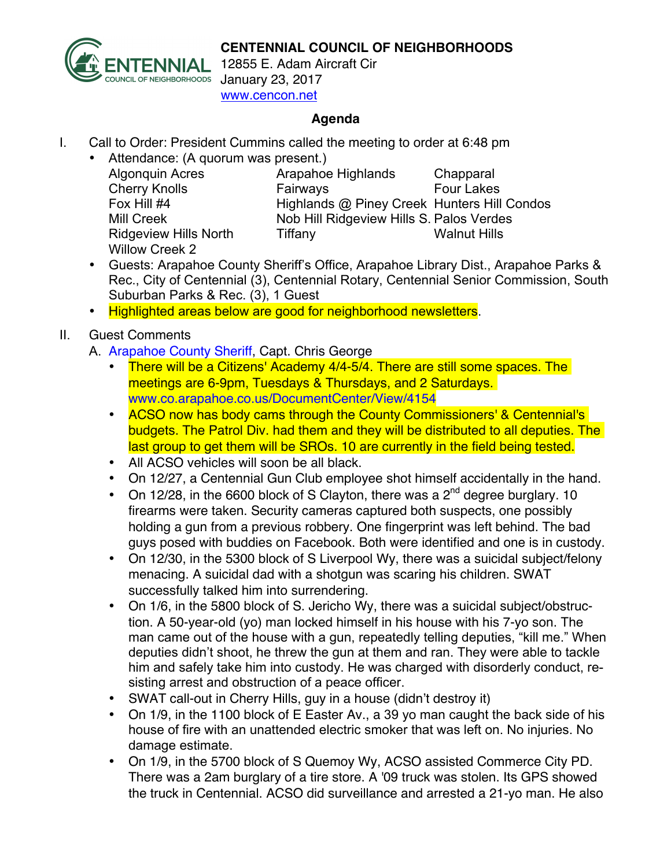**CENTENNIAL COUNCIL OF NEIGHBORHOODS**



12855 E. Adam Aircraft Cir January 23, 2017 www.cencon.net

## **Agenda**

- I. Call to Order: President Cummins called the meeting to order at 6:48 pm
	- Attendance: (A quorum was present.)
		- Willow Creek 2

Algonquin Acres Arapahoe Highlands Chapparal Cherry Knolls **Fairways** Four Lakes Fox Hill #4 Highlands @ Piney Creek Hunters Hill Condos Mill Creek Nob Hill Ridgeview Hills S. Palos Verdes Ridgeview Hills North Tiffany Times Walnut Hills

- Guests: Arapahoe County Sheriff's Office, Arapahoe Library Dist., Arapahoe Parks & Rec., City of Centennial (3), Centennial Rotary, Centennial Senior Commission, South Suburban Parks & Rec. (3), 1 Guest
- Highlighted areas below are good for neighborhood newsletters.

## II. Guest Comments

- A. [Arapahoe County Sheriff,](http://www.arapahoesheriff.org) Capt. Chris George
	- There will be a Citizens' Academy 4/4-5/4. There are still some spaces. The meetings are 6-9pm, Tuesdays & Thursdays, and 2 Saturdays. www.co.arapahoe.co.us/DocumentCenter/View/4154
	- ACSO now has body cams through the County Commissioners' & Centennial's budgets. The Patrol Div. had them and they will be distributed to all deputies. The last group to get them will be SROs. 10 are currently in the field being tested.
	- All ACSO vehicles will soon be all black.
	- On 12/27, a Centennial Gun Club employee shot himself accidentally in the hand.
	- On 12/28, in the 6600 block of S Clayton, there was a  $2<sup>nd</sup>$  degree burglary. 10 firearms were taken. Security cameras captured both suspects, one possibly holding a gun from a previous robbery. One fingerprint was left behind. The bad guys posed with buddies on Facebook. Both were identified and one is in custody.
	- On 12/30, in the 5300 block of S Liverpool Wy, there was a suicidal subject/felony menacing. A suicidal dad with a shotgun was scaring his children. SWAT successfully talked him into surrendering.
	- On 1/6, in the 5800 block of S. Jericho Wy, there was a suicidal subject/obstruction. A 50-year-old (yo) man locked himself in his house with his 7-yo son. The man came out of the house with a gun, repeatedly telling deputies, "kill me." When deputies didn't shoot, he threw the gun at them and ran. They were able to tackle him and safely take him into custody. He was charged with disorderly conduct, resisting arrest and obstruction of a peace officer.
	- SWAT call-out in Cherry Hills, guy in a house (didn't destroy it)
	- On 1/9, in the 1100 block of E Easter Av., a 39 yo man caught the back side of his house of fire with an unattended electric smoker that was left on. No injuries. No damage estimate.
	- On 1/9, in the 5700 block of S Quemoy Wy, ACSO assisted Commerce City PD. There was a 2am burglary of a tire store. A '09 truck was stolen. Its GPS showed the truck in Centennial. ACSO did surveillance and arrested a 21-yo man. He also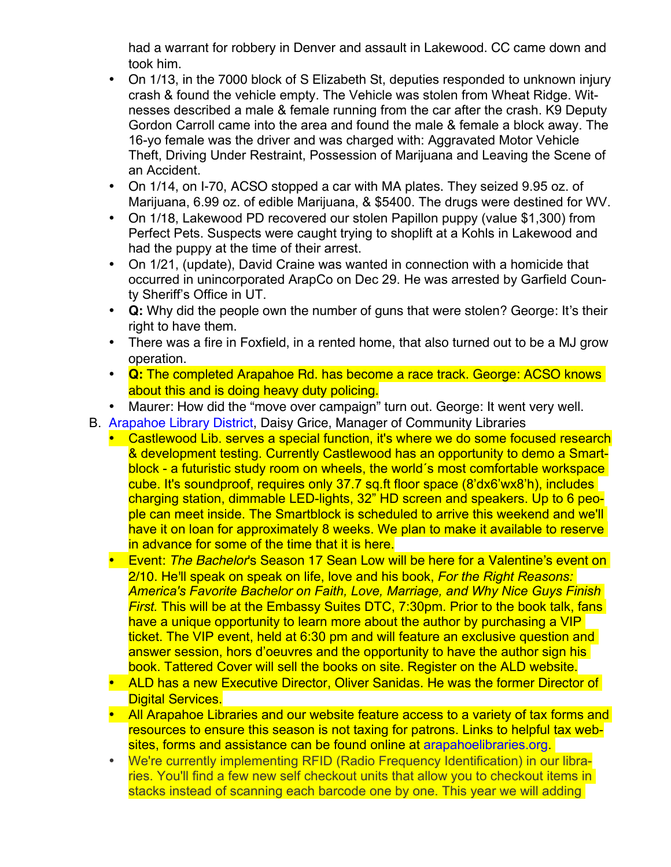had a warrant for robbery in Denver and assault in Lakewood. CC came down and took him.

- On 1/13, in the 7000 block of S Elizabeth St, deputies responded to unknown injury crash & found the vehicle empty. The Vehicle was stolen from Wheat Ridge. Witnesses described a male & female running from the car after the crash. K9 Deputy Gordon Carroll came into the area and found the male & female a block away. The 16-yo female was the driver and was charged with: Aggravated Motor Vehicle Theft, Driving Under Restraint, Possession of Marijuana and Leaving the Scene of an Accident.
- On 1/14, on I-70, ACSO stopped a car with MA plates. They seized 9.95 oz. of Marijuana, 6.99 oz. of edible Marijuana, & \$5400. The drugs were destined for WV.
- On 1/18, Lakewood PD recovered our stolen Papillon puppy (value \$1,300) from Perfect Pets. Suspects were caught trying to shoplift at a Kohls in Lakewood and had the puppy at the time of their arrest.
- On 1/21, (update), David Craine was wanted in connection with a homicide that occurred in unincorporated ArapCo on Dec 29. He was arrested by Garfield County Sheriff's Office in UT.
- **Q:** Why did the people own the number of guns that were stolen? George: It's their right to have them.
- There was a fire in Foxfield, in a rented home, that also turned out to be a MJ grow operation.
- **Q:** The completed Arapahoe Rd. has become a race track. George: ACSO knows about this and is doing heavy duty policing.
- Maurer: How did the "move over campaign" turn out. George: It went very well.
- B. [Arapahoe Library District,](http://www.arapahoelibraries.org/) Daisy Grice, Manager of Community Libraries
	- Castlewood Lib. serves a special function, it's where we do some focused research & development testing. Currently Castlewood has an opportunity to demo a Smartblock - a futuristic study room on wheels, the world´s most comfortable workspace cube. It's soundproof, requires only 37.7 sq.ft floor space (8'dx6'wx8'h), includes charging station, dimmable LED-lights, 32" HD screen and speakers. Up to 6 people can meet inside. The Smartblock is scheduled to arrive this weekend and we'll have it on loan for approximately 8 weeks. We plan to make it available to reserve in advance for some of the time that it is here.
	- Event: *The Bachelor*'s Season 17 Sean Low will be here for a Valentine's event on 2/10. He'll speak on speak on life, love and his book, *For the Right Reasons: America's Favorite Bachelor on Faith, Love, Marriage, and Why Nice Guys Finish First.* This will be at the Embassy Suites DTC, 7:30pm. Prior to the book talk, fans have a unique opportunity to learn more about the author by purchasing a VIP ticket. The VIP event, held at 6:30 pm and will feature an exclusive question and answer session, hors d'oeuvres and the opportunity to have the author sign his book. Tattered Cover will sell the books on site. Register on the ALD website.
	- ALD has a new Executive Director, Oliver Sanidas. He was the former Director of **Digital Services.**
	- All Arapahoe Libraries and our website feature access to a variety of tax forms and resources to ensure this season is not taxing for patrons. Links to helpful tax websites, forms and assistance can be found online at arapahoelibraries.org.
	- We're currently implementing RFID (Radio Frequency Identification) in our libraries. You'll find a few new self checkout units that allow you to checkout items in stacks instead of scanning each barcode one by one. This year we will adding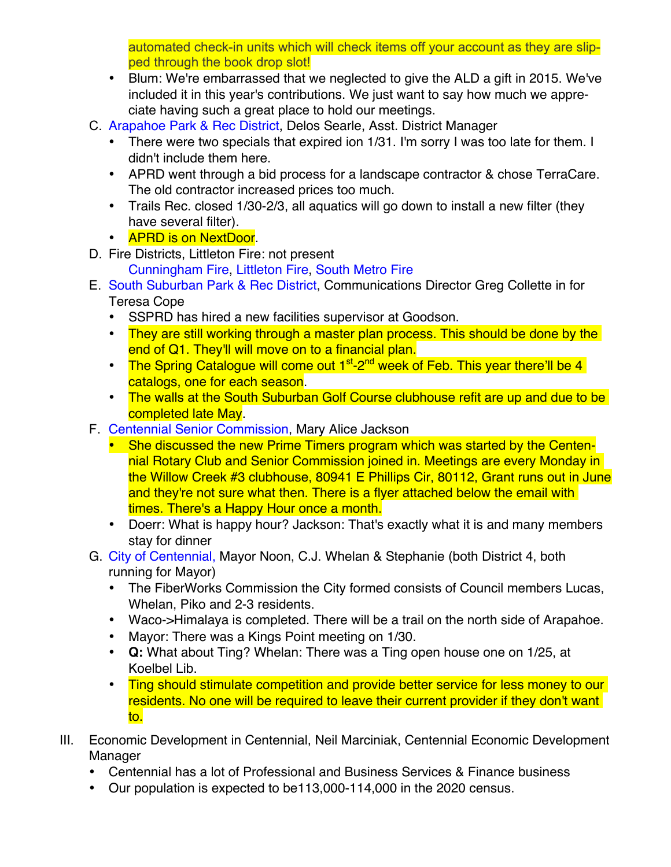automated check-in units which will check items off your account as they are slipped through the book drop slot!

- Blum: We're embarrassed that we neglected to give the ALD a gift in 2015. We've included it in this year's contributions. We just want to say how much we appreciate having such a great place to hold our meetings.
- C. [Arapahoe Park & Rec District,](http://www.aprd.org) Delos Searle, Asst. District Manager
	- There were two specials that expired ion 1/31. I'm sorry I was too late for them. I didn't include them here.
	- APRD went through a bid process for a landscape contractor & chose TerraCare. The old contractor increased prices too much.
	- Trails Rec. closed 1/30-2/3, all aquatics will go down to install a new filter (they have several filter).
	- **APRD is on NextDoor.**
- D. Fire Districts, Littleton Fire: not present
	- [Cunningham Fire,](http://www.cfpd.org) [Littleton Fire,](http://www.littletongov.org/fire) [South Metro Fire](http://www.southmetro.org)
- E. [South Suburban Park & Rec District,](http://www.SSPR.org) Communications Director Greg Collette in for Teresa Cope
	- SSPRD has hired a new facilities supervisor at Goodson.
	- They are still working through a master plan process. This should be done by the end of Q1. They'll will move on to a financial plan.
	- The Spring Catalogue will come out  $1^{st}$ -2<sup>nd</sup> week of Feb. This year there'll be 4 catalogs, one for each season.
	- The walls at the South Suburban Golf Course clubhouse refit are up and due to be completed late May.
- F. [Centennial Senior Commission,](http://www.centennialco.gov/Government/senior-commission.aspx) Mary Alice Jackson
	- She discussed the new Prime Timers program which was started by the Centennial Rotary Club and Senior Commission joined in. Meetings are every Monday in the Willow Creek #3 clubhouse, 80941 E Phillips Cir, 80112, Grant runs out in June and they're not sure what then. There is a flyer attached below the email with times. There's a Happy Hour once a month.
	- Doerr: What is happy hour? Jackson: That's exactly what it is and many members stay for dinner
- G. [City of Centennial,](http://www.centennialco.gov) Mayor Noon, C.J. Whelan & Stephanie (both District 4, both running for Mayor)
	- The FiberWorks Commission the City formed consists of Council members Lucas, Whelan, Piko and 2-3 residents.
	- Waco->Himalaya is completed. There will be a trail on the north side of Arapahoe.
	- Mayor: There was a Kings Point meeting on 1/30.
	- **Q:** What about Ting? Whelan: There was a Ting open house one on 1/25, at Koelbel Lib.
	- Ting should stimulate competition and provide better service for less money to our residents. No one will be required to leave their current provider if they don't want to.
- III. Economic Development in Centennial, Neil Marciniak, Centennial Economic Development Manager
	- Centennial has a lot of Professional and Business Services & Finance business
	- Our population is expected to be113,000-114,000 in the 2020 census.